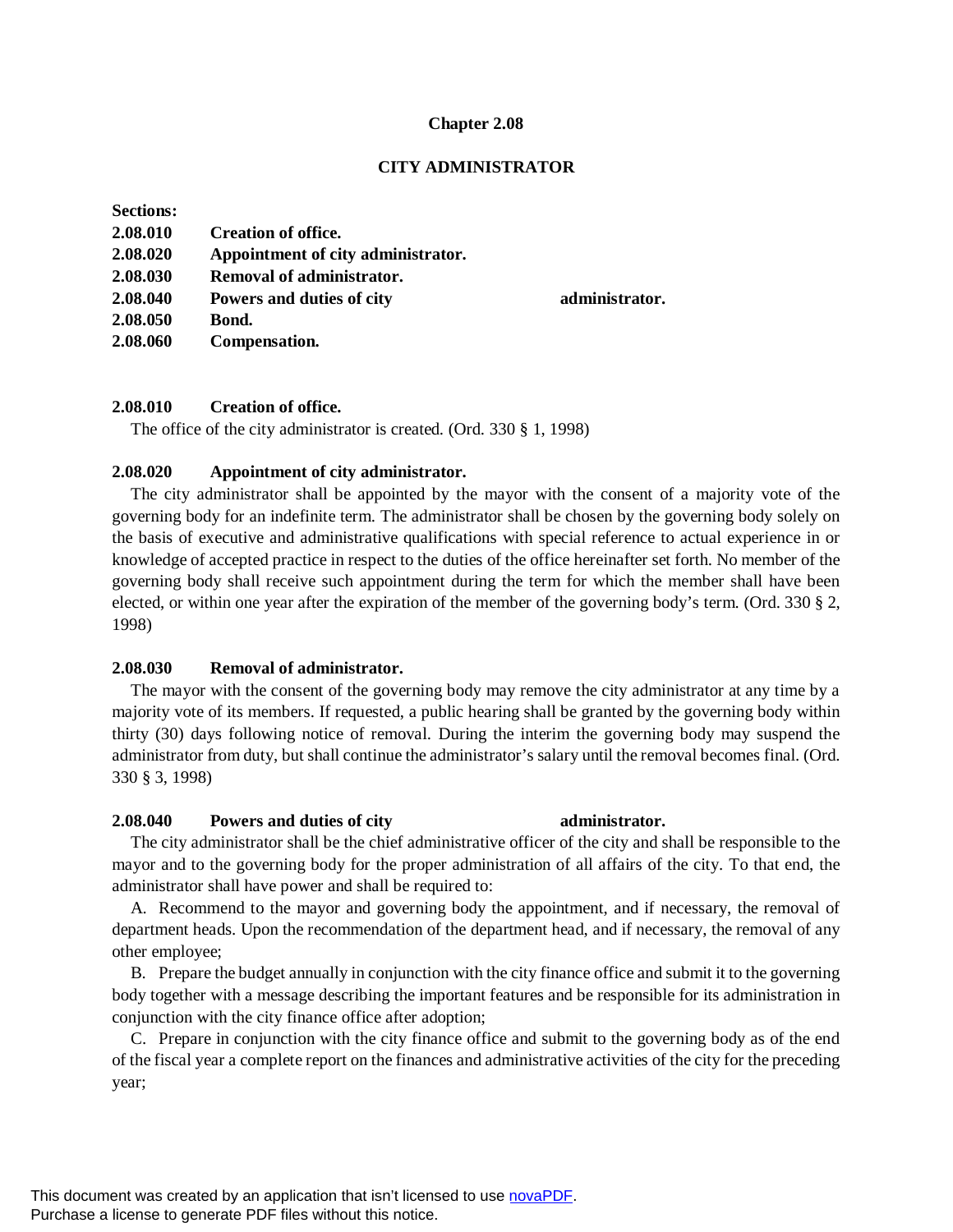#### **Chapter 2.08**

# **CITY ADMINISTRATOR**

**2.08.040 Powers and duties of city administrator.**

#### **Sections:**

| 2.08.010 | <b>Creation of office.</b>         |
|----------|------------------------------------|
| 2.08.020 | Appointment of city administrator. |
| 2.08.030 | Removal of administrator.          |
| 2.08.040 | Powers and duties of city          |
| 2.08.050 | Bond.                              |
| 2.08.060 | Compensation.                      |

# **2.08.010 Creation of office.**

The office of the city administrator is created. (Ord. 330 § 1, 1998)

## **2.08.020 Appointment of city administrator.**

The city administrator shall be appointed by the mayor with the consent of a majority vote of the governing body for an indefinite term. The administrator shall be chosen by the governing body solely on the basis of executive and administrative qualifications with special reference to actual experience in or knowledge of accepted practice in respect to the duties of the office hereinafter set forth. No member of the governing body shall receive such appointment during the term for which the member shall have been elected, or within one year after the expiration of the member of the governing body's term. (Ord. 330 § 2, 1998)

#### **2.08.030 Removal of administrator.**

The mayor with the consent of the governing body may remove the city administrator at any time by a majority vote of its members. If requested, a public hearing shall be granted by the governing body within thirty (30) days following notice of removal. During the interim the governing body may suspend the administrator from duty, but shall continue the administrator's salary until the removal becomes final. (Ord. 330 § 3, 1998)

# **2.08.040 Powers and duties of city administrator.**

# The city administrator shall be the chief administrative officer of the city and shall be responsible to the mayor and to the governing body for the proper administration of all affairs of the city. To that end, the administrator shall have power and shall be required to:

A. Recommend to the mayor and governing body the appointment, and if necessary, the removal of department heads. Upon the recommendation of the department head, and if necessary, the removal of any other employee;

B. Prepare the budget annually in conjunction with the city finance office and submit it to the governing body together with a message describing the important features and be responsible for its administration in conjunction with the city finance office after adoption;

C. Prepare in conjunction with the city finance office and submit to the governing body as of the end of the fiscal year a complete report on the finances and administrative activities of the city for the preceding year;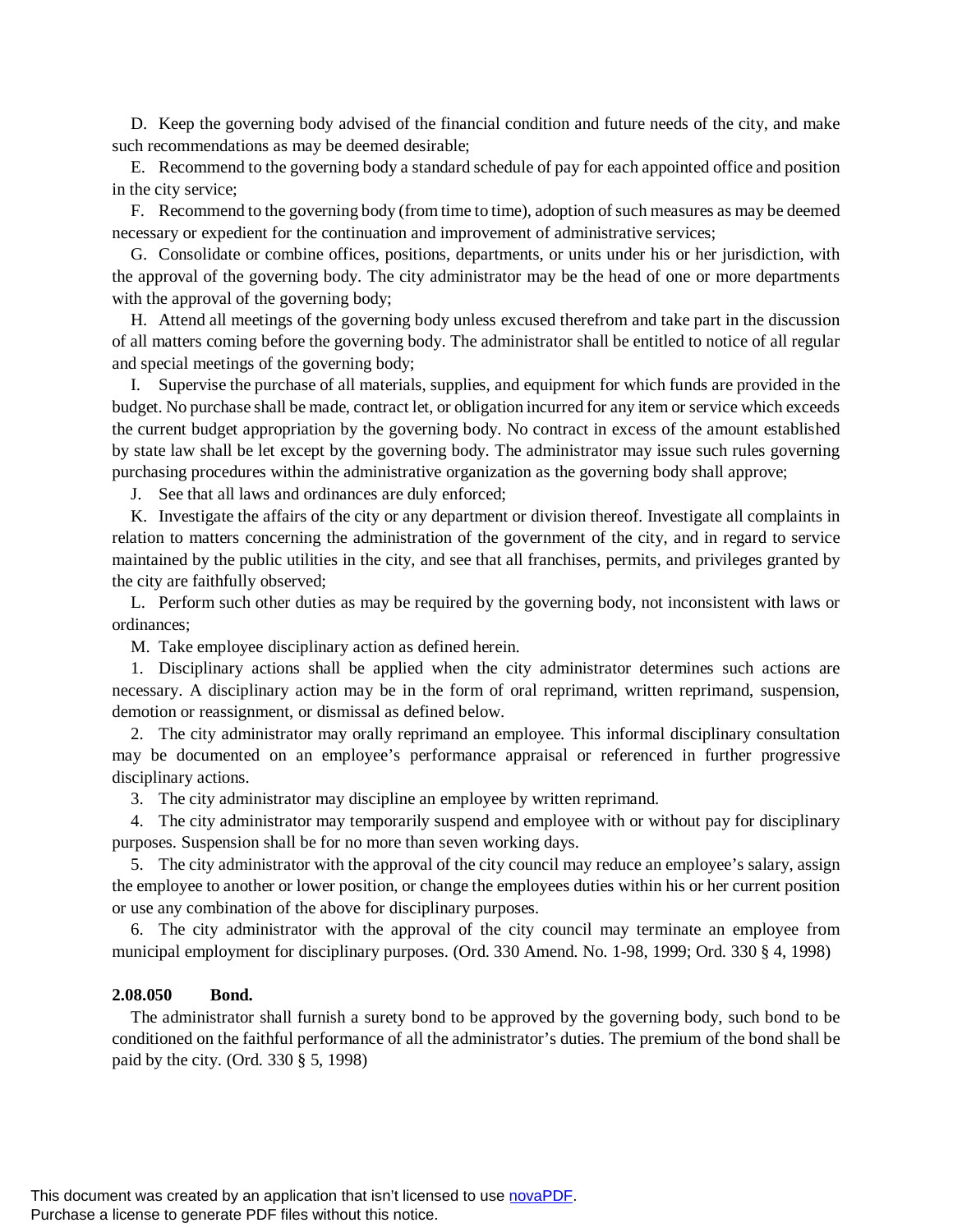D. Keep the governing body advised of the financial condition and future needs of the city, and make such recommendations as may be deemed desirable;

E. Recommend to the governing body a standard schedule of pay for each appointed office and position in the city service;

F. Recommend to the governing body (from time to time), adoption of such measures as may be deemed necessary or expedient for the continuation and improvement of administrative services;

G. Consolidate or combine offices, positions, departments, or units under his or her jurisdiction, with the approval of the governing body. The city administrator may be the head of one or more departments with the approval of the governing body;

H. Attend all meetings of the governing body unless excused therefrom and take part in the discussion of all matters coming before the governing body. The administrator shall be entitled to notice of all regular and special meetings of the governing body;

I. Supervise the purchase of all materials, supplies, and equipment for which funds are provided in the budget. No purchase shall be made, contract let, or obligation incurred for any item or service which exceeds the current budget appropriation by the governing body. No contract in excess of the amount established by state law shall be let except by the governing body. The administrator may issue such rules governing purchasing procedures within the administrative organization as the governing body shall approve;

J. See that all laws and ordinances are duly enforced;

K. Investigate the affairs of the city or any department or division thereof. Investigate all complaints in relation to matters concerning the administration of the government of the city, and in regard to service maintained by the public utilities in the city, and see that all franchises, permits, and privileges granted by the city are faithfully observed;

L. Perform such other duties as may be required by the governing body, not inconsistent with laws or ordinances;

M. Take employee disciplinary action as defined herein.

1. Disciplinary actions shall be applied when the city administrator determines such actions are necessary. A disciplinary action may be in the form of oral reprimand, written reprimand, suspension, demotion or reassignment, or dismissal as defined below.

2. The city administrator may orally reprimand an employee. This informal disciplinary consultation may be documented on an employee's performance appraisal or referenced in further progressive disciplinary actions.

3. The city administrator may discipline an employee by written reprimand.

4. The city administrator may temporarily suspend and employee with or without pay for disciplinary purposes. Suspension shall be for no more than seven working days.

5. The city administrator with the approval of the city council may reduce an employee's salary, assign the employee to another or lower position, or change the employees duties within his or her current position or use any combination of the above for disciplinary purposes.

6. The city administrator with the approval of the city council may terminate an employee from municipal employment for disciplinary purposes. (Ord. 330 Amend. No. 1-98, 1999; Ord. 330 § 4, 1998)

#### **2.08.050 Bond.**

The administrator shall furnish a surety bond to be approved by the governing body, such bond to be conditioned on the faithful performance of all the administrator's duties. The premium of the bond shall be paid by the city. (Ord. 330 § 5, 1998)